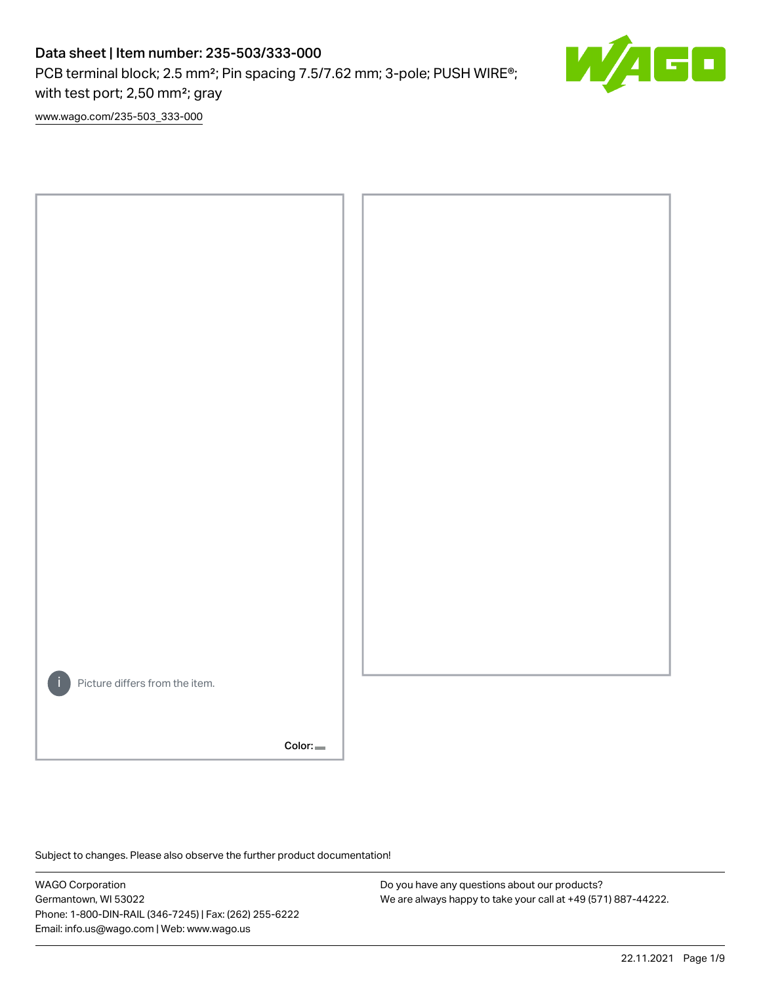PCB terminal block; 2.5 mm<sup>2</sup>; Pin spacing 7.5/7.62 mm; 3-pole; PUSH WIRE<sup>®</sup>; with test port; 2,50 mm²; gray



[www.wago.com/235-503\\_333-000](http://www.wago.com/235-503_333-000)



Subject to changes. Please also observe the further product documentation!

WAGO Corporation Germantown, WI 53022 Phone: 1-800-DIN-RAIL (346-7245) | Fax: (262) 255-6222 Email: info.us@wago.com | Web: www.wago.us

Do you have any questions about our products? We are always happy to take your call at +49 (571) 887-44222.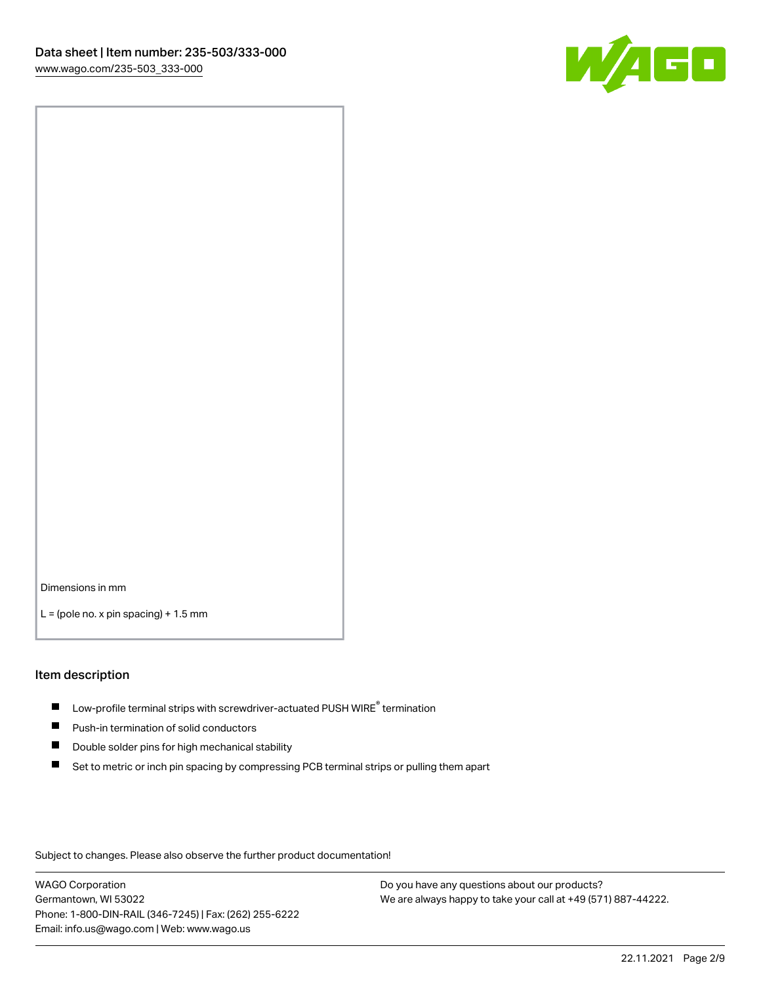

Dimensions in mm

 $L =$  (pole no. x pin spacing) + 1.5 mm

#### Item description

- $\blacksquare$  Low-profile terminal strips with screwdriver-actuated PUSH WIRE<sup>®</sup> termination
- **Push-in termination of solid conductors**
- $\blacksquare$ Double solder pins for high mechanical stability
- П Set to metric or inch pin spacing by compressing PCB terminal strips or pulling them apart

Subject to changes. Please also observe the further product documentation!

WAGO Corporation Germantown, WI 53022 Phone: 1-800-DIN-RAIL (346-7245) | Fax: (262) 255-6222 Email: info.us@wago.com | Web: www.wago.us

Do you have any questions about our products? We are always happy to take your call at +49 (571) 887-44222.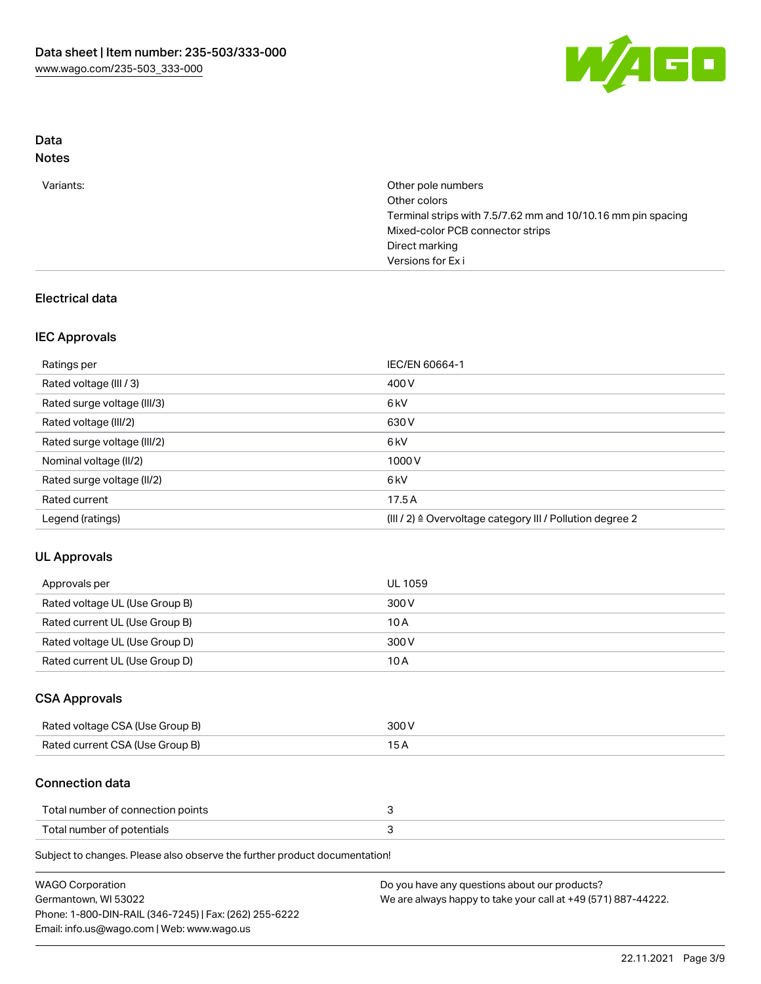

# Data

| N∩t<br>٠ |
|----------|
|----------|

| Variants: | Other pole numbers<br>Other colors<br>Terminal strips with 7.5/7.62 mm and 10/10.16 mm pin spacing<br>Mixed-color PCB connector strips<br>Direct marking<br>Versions for Exi |
|-----------|------------------------------------------------------------------------------------------------------------------------------------------------------------------------------|
|           |                                                                                                                                                                              |

### Electrical data

### IEC Approvals

| Ratings per                 | IEC/EN 60664-1                                            |
|-----------------------------|-----------------------------------------------------------|
| Rated voltage (III / 3)     | 400 V                                                     |
| Rated surge voltage (III/3) | 6 <sub>k</sub> V                                          |
| Rated voltage (III/2)       | 630 V                                                     |
| Rated surge voltage (III/2) | 6 <sub>k</sub> V                                          |
| Nominal voltage (II/2)      | 1000V                                                     |
| Rated surge voltage (II/2)  | 6 <sub>k</sub> V                                          |
| Rated current               | 17.5A                                                     |
| Legend (ratings)            | (III / 2) ≙ Overvoltage category III / Pollution degree 2 |

### UL Approvals

| Approvals per                  | UL 1059 |
|--------------------------------|---------|
| Rated voltage UL (Use Group B) | 300 V   |
| Rated current UL (Use Group B) | 10 A    |
| Rated voltage UL (Use Group D) | 300 V   |
| Rated current UL (Use Group D) | 10 A    |

### CSA Approvals

| Rated voltage CSA (Use Group B) | 300 V |
|---------------------------------|-------|
| Rated current CSA (Use Group B) |       |

### Connection data

| Total number of connection points |  |
|-----------------------------------|--|
| Total number of potentials        |  |

Subject to changes. Please also observe the further product documentation!

| <b>WAGO Corporation</b>                                | Do you have any questions about our products?                 |
|--------------------------------------------------------|---------------------------------------------------------------|
| Germantown, WI 53022                                   | We are always happy to take your call at +49 (571) 887-44222. |
| Phone: 1-800-DIN-RAIL (346-7245)   Fax: (262) 255-6222 |                                                               |
| Email: info.us@wago.com   Web: www.wago.us             |                                                               |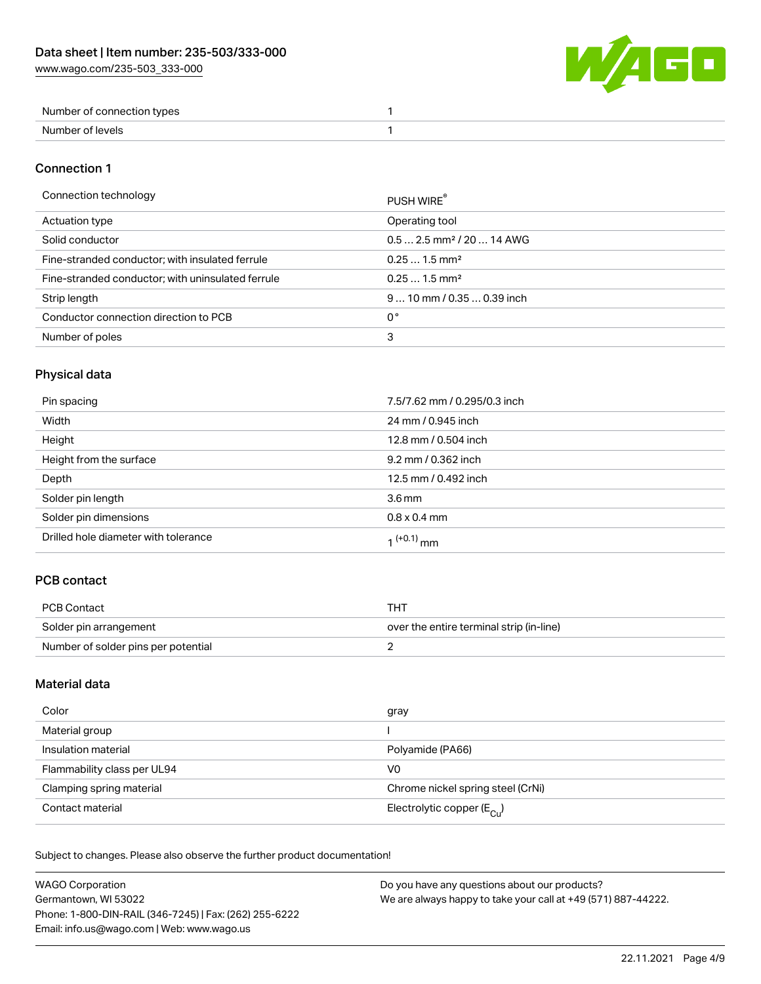W/4GO

| Number of connection types |  |
|----------------------------|--|
| Number of levels           |  |

#### Connection 1

#### Connection technology PUSH WIRE®

|                                                   | PUSH WIRE                              |
|---------------------------------------------------|----------------------------------------|
| Actuation type                                    | Operating tool                         |
| Solid conductor                                   | $0.5$ 2.5 mm <sup>2</sup> / 20  14 AWG |
| Fine-stranded conductor; with insulated ferrule   | $0.251.5$ mm <sup>2</sup>              |
| Fine-stranded conductor; with uninsulated ferrule | $0.251.5$ mm <sup>2</sup>              |
| Strip length                                      | $910$ mm / 0.35  0.39 inch             |
| Conductor connection direction to PCB             | 0°                                     |
| Number of poles                                   | 3                                      |
|                                                   |                                        |

## Physical data

| Pin spacing                          | 7.5/7.62 mm / 0.295/0.3 inch |
|--------------------------------------|------------------------------|
| Width                                | 24 mm / 0.945 inch           |
| Height                               | 12.8 mm / 0.504 inch         |
| Height from the surface              | 9.2 mm / 0.362 inch          |
| Depth                                | 12.5 mm / 0.492 inch         |
| Solder pin length                    | 3.6 <sub>mm</sub>            |
| Solder pin dimensions                | $0.8 \times 0.4$ mm          |
| Drilled hole diameter with tolerance | 1 <sup>(+0.1)</sup> mm       |

## PCB contact

| PCB Contact                         | тнт                                      |
|-------------------------------------|------------------------------------------|
| Solder pin arrangement              | over the entire terminal strip (in-line) |
| Number of solder pins per potential |                                          |

### Material data

| Color                       | gray                                    |
|-----------------------------|-----------------------------------------|
| Material group              |                                         |
| Insulation material         | Polyamide (PA66)                        |
| Flammability class per UL94 | V0                                      |
| Clamping spring material    | Chrome nickel spring steel (CrNi)       |
| Contact material            | Electrolytic copper ( $E_{\text{Cl}}$ ) |

Subject to changes. Please also observe the further product documentation!

| <b>WAGO Corporation</b>                                | Do you have any questions about our products?                 |
|--------------------------------------------------------|---------------------------------------------------------------|
| Germantown, WI 53022                                   | We are always happy to take your call at +49 (571) 887-44222. |
| Phone: 1-800-DIN-RAIL (346-7245)   Fax: (262) 255-6222 |                                                               |
| Email: info.us@wago.com   Web: www.wago.us             |                                                               |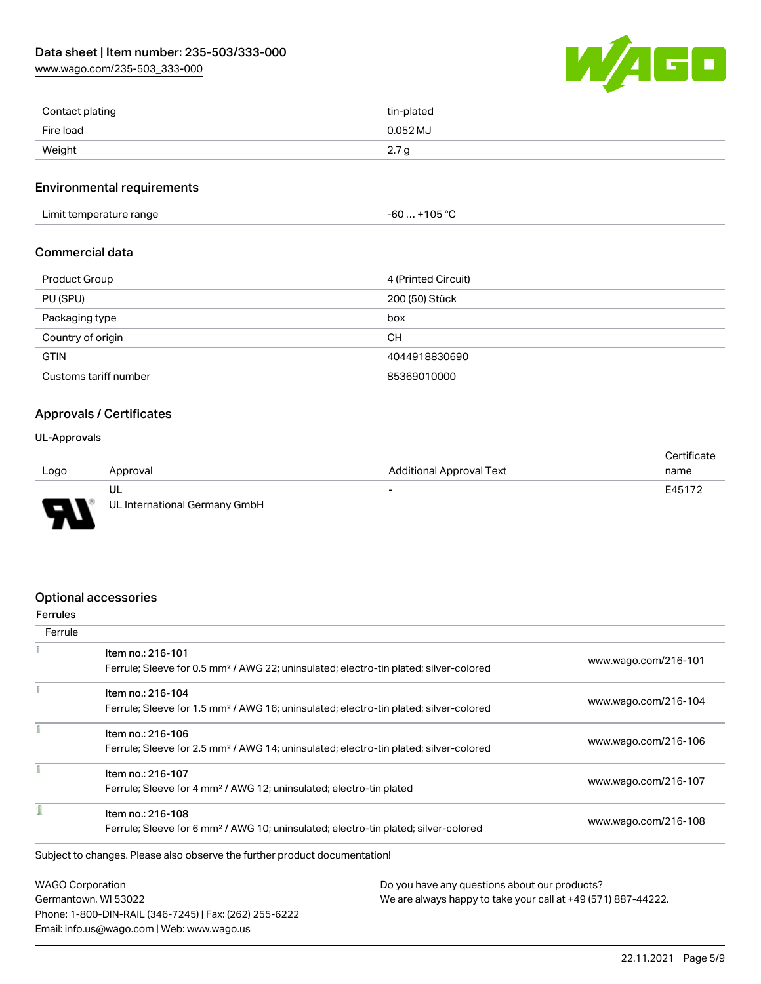[www.wago.com/235-503\\_333-000](http://www.wago.com/235-503_333-000)



| Contact plating | tin-plated |
|-----------------|------------|
| Fire load       | $0.052$ MJ |
| Weight          | 2.7<br>ч   |

#### Environmental requirements

Limit temperature range  $-60... +105$  °C

#### Commercial data

| <b>Product Group</b>  | 4 (Printed Circuit) |
|-----------------------|---------------------|
| PU (SPU)              | 200 (50) Stück      |
| Packaging type        | box                 |
| Country of origin     | CН                  |
| <b>GTIN</b>           | 4044918830690       |
| Customs tariff number | 85369010000         |

### Approvals / Certificates

#### UL-Approvals

773

| <b>Additional Approval Text</b><br>Logo<br>Approval<br>name<br>E45172<br>ul<br>$\overline{\phantom{a}}$ |  | Certificate |
|---------------------------------------------------------------------------------------------------------|--|-------------|
|                                                                                                         |  |             |
|                                                                                                         |  |             |
| UL International Germany GmbH<br>$\blacksquare$                                                         |  |             |

### Optional accessories

Email: info.us@wago.com | Web: www.wago.us

| <b>Ferrules</b>         |                                                                                                                        |                                               |                                                               |  |
|-------------------------|------------------------------------------------------------------------------------------------------------------------|-----------------------------------------------|---------------------------------------------------------------|--|
| Ferrule                 |                                                                                                                        |                                               |                                                               |  |
|                         | Item no.: 216-101<br>Ferrule; Sleeve for 0.5 mm <sup>2</sup> / AWG 22; uninsulated; electro-tin plated; silver-colored |                                               | www.wago.com/216-101                                          |  |
|                         | Item no.: 216-104                                                                                                      |                                               | www.wago.com/216-104                                          |  |
|                         | Ferrule; Sleeve for 1.5 mm <sup>2</sup> / AWG 16; uninsulated; electro-tin plated; silver-colored                      |                                               |                                                               |  |
|                         | Item no.: 216-106                                                                                                      |                                               |                                                               |  |
|                         | Ferrule; Sleeve for 2.5 mm <sup>2</sup> / AWG 14; uninsulated; electro-tin plated; silver-colored                      |                                               | www.wago.com/216-106                                          |  |
|                         | Item no.: 216-107                                                                                                      |                                               |                                                               |  |
|                         | Ferrule; Sleeve for 4 mm <sup>2</sup> / AWG 12; uninsulated; electro-tin plated                                        |                                               | www.wago.com/216-107                                          |  |
| Item no.: 216-108       |                                                                                                                        |                                               |                                                               |  |
|                         | Ferrule; Sleeve for 6 mm <sup>2</sup> / AWG 10; uninsulated; electro-tin plated; silver-colored                        |                                               | www.wago.com/216-108                                          |  |
|                         | Subject to changes. Please also observe the further product documentation!                                             |                                               |                                                               |  |
| <b>WAGO Corporation</b> |                                                                                                                        | Do you have any questions about our products? |                                                               |  |
| Germantown, WI 53022    |                                                                                                                        |                                               | We are always happy to take your call at +49 (571) 887-44222. |  |
|                         | Phone: 1-800-DIN-RAIL (346-7245)   Fax: (262) 255-6222                                                                 |                                               |                                                               |  |

22.11.2021 Page 5/9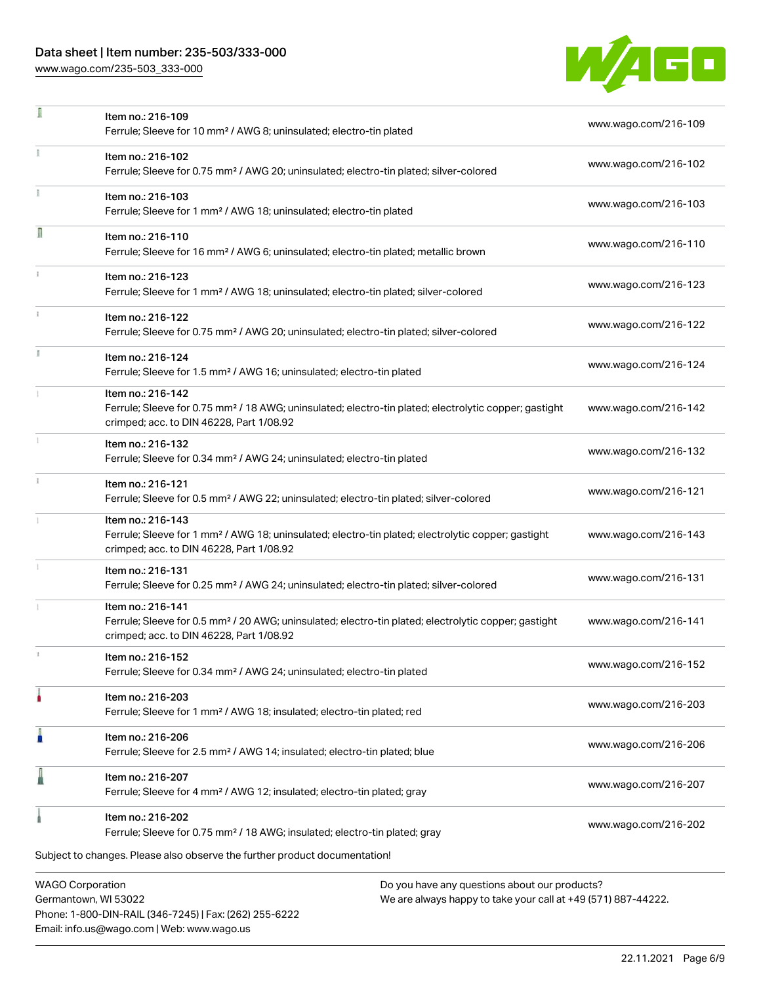Phone: 1-800-DIN-RAIL (346-7245) | Fax: (262) 255-6222

Email: info.us@wago.com | Web: www.wago.us

[www.wago.com/235-503\\_333-000](http://www.wago.com/235-503_333-000)

÷,



| ı                                               | Item no.: 216-109<br>Ferrule; Sleeve for 10 mm <sup>2</sup> / AWG 8; uninsulated; electro-tin plated                                                                               |                                                                                                                | www.wago.com/216-109 |
|-------------------------------------------------|------------------------------------------------------------------------------------------------------------------------------------------------------------------------------------|----------------------------------------------------------------------------------------------------------------|----------------------|
|                                                 | Item no.: 216-102<br>Ferrule; Sleeve for 0.75 mm <sup>2</sup> / AWG 20; uninsulated; electro-tin plated; silver-colored                                                            |                                                                                                                | www.wago.com/216-102 |
|                                                 | Item no.: 216-103<br>Ferrule; Sleeve for 1 mm <sup>2</sup> / AWG 18; uninsulated; electro-tin plated                                                                               |                                                                                                                | www.wago.com/216-103 |
| Ω                                               | Item no.: 216-110<br>Ferrule; Sleeve for 16 mm <sup>2</sup> / AWG 6; uninsulated; electro-tin plated; metallic brown                                                               |                                                                                                                | www.wago.com/216-110 |
|                                                 | Item no.: 216-123<br>Ferrule; Sleeve for 1 mm <sup>2</sup> / AWG 18; uninsulated; electro-tin plated; silver-colored                                                               |                                                                                                                | www.wago.com/216-123 |
|                                                 | Item no.: 216-122<br>Ferrule; Sleeve for 0.75 mm <sup>2</sup> / AWG 20; uninsulated; electro-tin plated; silver-colored                                                            |                                                                                                                | www.wago.com/216-122 |
|                                                 | Item no.: 216-124<br>Ferrule; Sleeve for 1.5 mm <sup>2</sup> / AWG 16; uninsulated; electro-tin plated                                                                             |                                                                                                                | www.wago.com/216-124 |
|                                                 | Item no.: 216-142<br>Ferrule; Sleeve for 0.75 mm <sup>2</sup> / 18 AWG; uninsulated; electro-tin plated; electrolytic copper; gastight<br>crimped; acc. to DIN 46228, Part 1/08.92 |                                                                                                                | www.wago.com/216-142 |
|                                                 | Item no.: 216-132<br>Ferrule; Sleeve for 0.34 mm <sup>2</sup> / AWG 24; uninsulated; electro-tin plated                                                                            |                                                                                                                | www.wago.com/216-132 |
|                                                 | Item no.: 216-121<br>Ferrule; Sleeve for 0.5 mm <sup>2</sup> / AWG 22; uninsulated; electro-tin plated; silver-colored                                                             |                                                                                                                | www.wago.com/216-121 |
|                                                 | Item no.: 216-143<br>Ferrule; Sleeve for 1 mm <sup>2</sup> / AWG 18; uninsulated; electro-tin plated; electrolytic copper; gastight<br>crimped; acc. to DIN 46228, Part 1/08.92    |                                                                                                                | www.wago.com/216-143 |
|                                                 | Item no.: 216-131<br>Ferrule; Sleeve for 0.25 mm <sup>2</sup> / AWG 24; uninsulated; electro-tin plated; silver-colored                                                            |                                                                                                                | www.wago.com/216-131 |
|                                                 | Item no.: 216-141<br>Ferrule; Sleeve for 0.5 mm <sup>2</sup> / 20 AWG; uninsulated; electro-tin plated; electrolytic copper; gastight<br>crimped; acc. to DIN 46228, Part 1/08.92  |                                                                                                                | www.wago.com/216-141 |
|                                                 | Item no.: 216-152<br>Ferrule; Sleeve for 0.34 mm <sup>2</sup> / AWG 24; uninsulated; electro-tin plated                                                                            |                                                                                                                | www.wago.com/216-152 |
|                                                 | Item no.: 216-203<br>Ferrule; Sleeve for 1 mm <sup>2</sup> / AWG 18; insulated; electro-tin plated; red                                                                            |                                                                                                                | www.wago.com/216-203 |
|                                                 | Item no.: 216-206<br>Ferrule; Sleeve for 2.5 mm <sup>2</sup> / AWG 14; insulated; electro-tin plated; blue                                                                         |                                                                                                                | www.wago.com/216-206 |
|                                                 | Item no.: 216-207<br>Ferrule; Sleeve for 4 mm <sup>2</sup> / AWG 12; insulated; electro-tin plated; gray                                                                           |                                                                                                                | www.wago.com/216-207 |
|                                                 | Item no.: 216-202<br>Ferrule; Sleeve for 0.75 mm <sup>2</sup> / 18 AWG; insulated; electro-tin plated; gray                                                                        |                                                                                                                | www.wago.com/216-202 |
|                                                 | Subject to changes. Please also observe the further product documentation!                                                                                                         |                                                                                                                |                      |
| <b>WAGO Corporation</b><br>Germantown, WI 53022 |                                                                                                                                                                                    | Do you have any questions about our products?<br>We are always happy to take your call at +49 (571) 887-44222. |                      |

22.11.2021 Page 6/9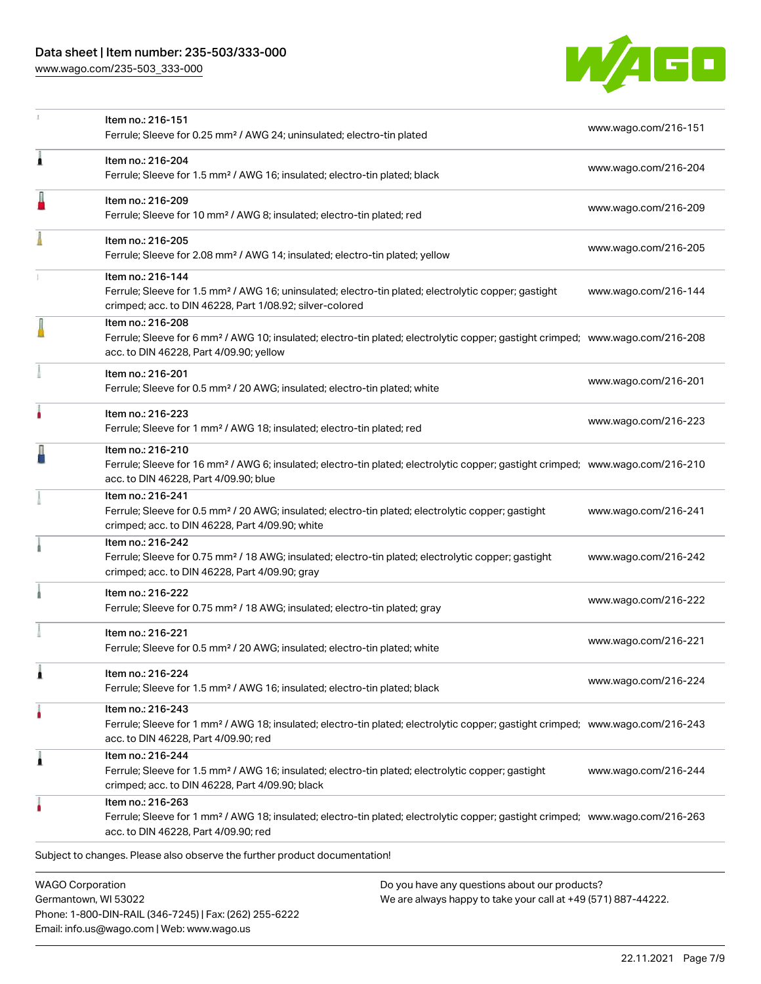[www.wago.com/235-503\\_333-000](http://www.wago.com/235-503_333-000)

Email: info.us@wago.com | Web: www.wago.us



|                                                 | Item no.: 216-151<br>Ferrule; Sleeve for 0.25 mm <sup>2</sup> / AWG 24; uninsulated; electro-tin plated                                                                                                    |                                                                                                                | www.wago.com/216-151 |
|-------------------------------------------------|------------------------------------------------------------------------------------------------------------------------------------------------------------------------------------------------------------|----------------------------------------------------------------------------------------------------------------|----------------------|
| ٨                                               | Item no.: 216-204<br>Ferrule; Sleeve for 1.5 mm <sup>2</sup> / AWG 16; insulated; electro-tin plated; black                                                                                                |                                                                                                                | www.wago.com/216-204 |
|                                                 | Item no.: 216-209<br>Ferrule; Sleeve for 10 mm <sup>2</sup> / AWG 8; insulated; electro-tin plated; red                                                                                                    |                                                                                                                | www.wago.com/216-209 |
|                                                 | Item no.: 216-205<br>Ferrule; Sleeve for 2.08 mm <sup>2</sup> / AWG 14; insulated; electro-tin plated; yellow                                                                                              |                                                                                                                | www.wago.com/216-205 |
|                                                 | Item no.: 216-144<br>Ferrule; Sleeve for 1.5 mm <sup>2</sup> / AWG 16; uninsulated; electro-tin plated; electrolytic copper; gastight<br>crimped; acc. to DIN 46228, Part 1/08.92; silver-colored          |                                                                                                                | www.wago.com/216-144 |
|                                                 | Item no.: 216-208<br>Ferrule; Sleeve for 6 mm <sup>2</sup> / AWG 10; insulated; electro-tin plated; electrolytic copper; gastight crimped; www.wago.com/216-208<br>acc. to DIN 46228, Part 4/09.90; yellow |                                                                                                                |                      |
|                                                 | Item no.: 216-201<br>Ferrule; Sleeve for 0.5 mm <sup>2</sup> / 20 AWG; insulated; electro-tin plated; white                                                                                                |                                                                                                                | www.wago.com/216-201 |
|                                                 | Item no.: 216-223<br>Ferrule; Sleeve for 1 mm <sup>2</sup> / AWG 18; insulated; electro-tin plated; red                                                                                                    |                                                                                                                | www.wago.com/216-223 |
|                                                 | Item no.: 216-210<br>Ferrule; Sleeve for 16 mm <sup>2</sup> / AWG 6; insulated; electro-tin plated; electrolytic copper; gastight crimped; www.wago.com/216-210<br>acc. to DIN 46228, Part 4/09.90; blue   |                                                                                                                |                      |
|                                                 | Item no.: 216-241<br>Ferrule; Sleeve for 0.5 mm <sup>2</sup> / 20 AWG; insulated; electro-tin plated; electrolytic copper; gastight<br>crimped; acc. to DIN 46228, Part 4/09.90; white                     |                                                                                                                | www.wago.com/216-241 |
|                                                 | Item no.: 216-242<br>Ferrule; Sleeve for 0.75 mm <sup>2</sup> / 18 AWG; insulated; electro-tin plated; electrolytic copper; gastight<br>crimped; acc. to DIN 46228, Part 4/09.90; gray                     |                                                                                                                | www.wago.com/216-242 |
|                                                 | Item no.: 216-222<br>Ferrule; Sleeve for 0.75 mm <sup>2</sup> / 18 AWG; insulated; electro-tin plated; gray                                                                                                |                                                                                                                | www.wago.com/216-222 |
|                                                 | Item no.: 216-221<br>Ferrule; Sleeve for 0.5 mm <sup>2</sup> / 20 AWG; insulated; electro-tin plated; white                                                                                                |                                                                                                                | www.wago.com/216-221 |
|                                                 | Item no.: 216-224<br>Ferrule; Sleeve for 1.5 mm <sup>2</sup> / AWG 16; insulated; electro-tin plated; black                                                                                                |                                                                                                                | www.wago.com/216-224 |
|                                                 | Item no.: 216-243<br>Ferrule; Sleeve for 1 mm <sup>2</sup> / AWG 18; insulated; electro-tin plated; electrolytic copper; gastight crimped; www.wago.com/216-243<br>acc. to DIN 46228, Part 4/09.90; red    |                                                                                                                |                      |
| 1                                               | Item no.: 216-244<br>Ferrule; Sleeve for 1.5 mm <sup>2</sup> / AWG 16; insulated; electro-tin plated; electrolytic copper; gastight<br>crimped; acc. to DIN 46228, Part 4/09.90; black                     |                                                                                                                | www.wago.com/216-244 |
|                                                 | Item no.: 216-263<br>Ferrule; Sleeve for 1 mm <sup>2</sup> / AWG 18; insulated; electro-tin plated; electrolytic copper; gastight crimped; www.wago.com/216-263<br>acc. to DIN 46228, Part 4/09.90; red    |                                                                                                                |                      |
|                                                 | Subject to changes. Please also observe the further product documentation!                                                                                                                                 |                                                                                                                |                      |
| <b>WAGO Corporation</b><br>Germantown, WI 53022 | Phone: 1-800-DIN-RAIL (346-7245)   Fax: (262) 255-6222                                                                                                                                                     | Do you have any questions about our products?<br>We are always happy to take your call at +49 (571) 887-44222. |                      |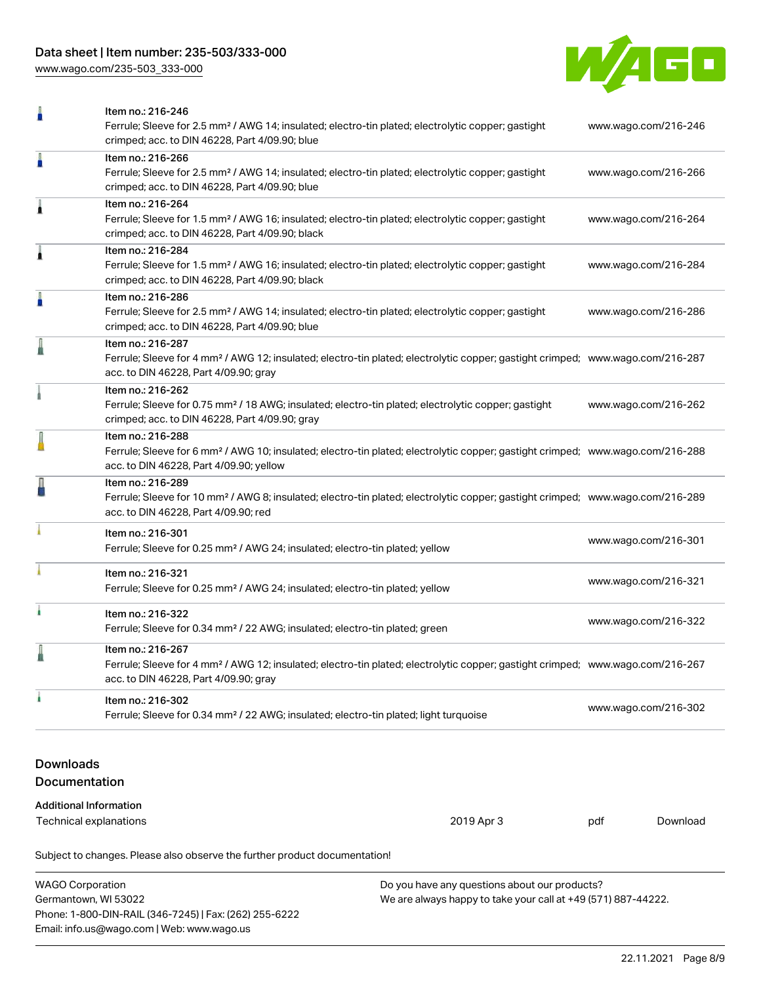[www.wago.com/235-503\\_333-000](http://www.wago.com/235-503_333-000)



| ñ                                 | Item no.: 216-246<br>Ferrule; Sleeve for 2.5 mm <sup>2</sup> / AWG 14; insulated; electro-tin plated; electrolytic copper; gastight<br>www.wago.com/216-246<br>crimped; acc. to DIN 46228, Part 4/09.90; blue |                      |                      |                      |  |
|-----------------------------------|---------------------------------------------------------------------------------------------------------------------------------------------------------------------------------------------------------------|----------------------|----------------------|----------------------|--|
| A                                 | Item no.: 216-266<br>Ferrule; Sleeve for 2.5 mm <sup>2</sup> / AWG 14; insulated; electro-tin plated; electrolytic copper; gastight<br>www.wago.com/216-266<br>crimped; acc. to DIN 46228, Part 4/09.90; blue |                      |                      |                      |  |
| 1                                 | Item no.: 216-264<br>Ferrule; Sleeve for 1.5 mm <sup>2</sup> / AWG 16; insulated; electro-tin plated; electrolytic copper; gastight<br>crimped; acc. to DIN 46228, Part 4/09.90; black                        |                      |                      | www.wago.com/216-264 |  |
| Â                                 | Item no.: 216-284<br>Ferrule; Sleeve for 1.5 mm <sup>2</sup> / AWG 16; insulated; electro-tin plated; electrolytic copper; gastight<br>crimped; acc. to DIN 46228, Part 4/09.90; black                        |                      |                      | www.wago.com/216-284 |  |
| A                                 | Item no.: 216-286<br>Ferrule; Sleeve for 2.5 mm <sup>2</sup> / AWG 14; insulated; electro-tin plated; electrolytic copper; gastight<br>crimped; acc. to DIN 46228, Part 4/09.90; blue                         |                      |                      | www.wago.com/216-286 |  |
|                                   | Item no.: 216-287<br>Ferrule; Sleeve for 4 mm <sup>2</sup> / AWG 12; insulated; electro-tin plated; electrolytic copper; gastight crimped; www.wago.com/216-287<br>acc. to DIN 46228, Part 4/09.90; gray      |                      |                      |                      |  |
|                                   | Item no.: 216-262<br>Ferrule; Sleeve for 0.75 mm <sup>2</sup> / 18 AWG; insulated; electro-tin plated; electrolytic copper; gastight<br>crimped; acc. to DIN 46228, Part 4/09.90; gray                        | www.wago.com/216-262 |                      |                      |  |
|                                   | Item no.: 216-288<br>Ferrule; Sleeve for 6 mm <sup>2</sup> / AWG 10; insulated; electro-tin plated; electrolytic copper; gastight crimped; www.wago.com/216-288<br>acc. to DIN 46228, Part 4/09.90; yellow    |                      |                      |                      |  |
|                                   | Item no.: 216-289<br>Ferrule; Sleeve for 10 mm <sup>2</sup> / AWG 8; insulated; electro-tin plated; electrolytic copper; gastight crimped; www.wago.com/216-289<br>acc. to DIN 46228, Part 4/09.90; red       |                      |                      |                      |  |
|                                   | Item no.: 216-301<br>Ferrule; Sleeve for 0.25 mm <sup>2</sup> / AWG 24; insulated; electro-tin plated; yellow                                                                                                 |                      | www.wago.com/216-301 |                      |  |
|                                   | Item no.: 216-321<br>Ferrule; Sleeve for 0.25 mm <sup>2</sup> / AWG 24; insulated; electro-tin plated; yellow                                                                                                 |                      | www.wago.com/216-321 |                      |  |
| ٠                                 | Item no.: 216-322<br>Ferrule; Sleeve for 0.34 mm <sup>2</sup> / 22 AWG; insulated; electro-tin plated; green                                                                                                  |                      | www.wago.com/216-322 |                      |  |
|                                   | Item no.: 216-267<br>Ferrule; Sleeve for 4 mm <sup>2</sup> / AWG 12; insulated; electro-tin plated; electrolytic copper; gastight crimped; www.wago.com/216-267<br>acc. to DIN 46228, Part 4/09.90; gray      |                      |                      |                      |  |
|                                   | Item no.: 216-302<br>Ferrule; Sleeve for 0.34 mm <sup>2</sup> / 22 AWG; insulated; electro-tin plated; light turquoise                                                                                        |                      | www.wago.com/216-302 |                      |  |
| <b>Downloads</b><br>Documentation |                                                                                                                                                                                                               |                      |                      |                      |  |
| <b>Additional Information</b>     |                                                                                                                                                                                                               |                      |                      |                      |  |
| Technical explanations            |                                                                                                                                                                                                               | 2019 Apr 3           | pdf                  | Download             |  |
|                                   | Subject to changes. Please also observe the further product documentation!                                                                                                                                    |                      |                      |                      |  |

| <b>WAGO Corporation</b>                                | Do you have any questions about our products?                 |
|--------------------------------------------------------|---------------------------------------------------------------|
| Germantown, WI 53022                                   | We are always happy to take your call at +49 (571) 887-44222. |
| Phone: 1-800-DIN-RAIL (346-7245)   Fax: (262) 255-6222 |                                                               |
| Email: info.us@wago.com   Web: www.wago.us             |                                                               |